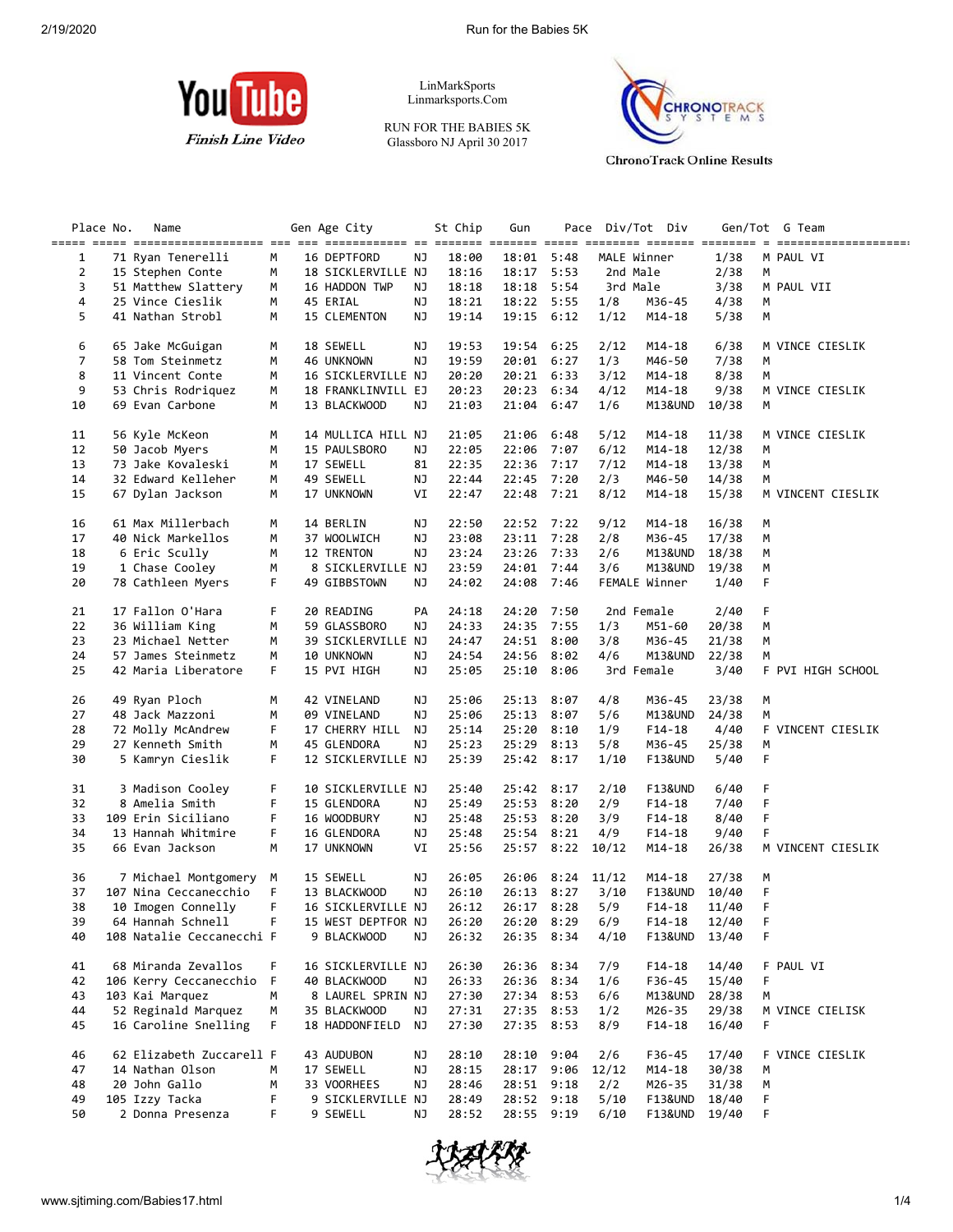

LinMarkSports Linmarksports.Com

RUN FOR THE BABIES 5K Glassboro NJ April 30 2017



**ChronoTrack Online Results** 

|                | Place No. | Name                      |    | Gen Age City       |    | St Chip | Gun        | Pace |              | Div/Tot Div        |       |   | Gen/Tot G Team    |
|----------------|-----------|---------------------------|----|--------------------|----|---------|------------|------|--------------|--------------------|-------|---|-------------------|
|                |           |                           |    |                    |    |         |            |      |              |                    |       |   |                   |
| 1              |           | 71 Ryan Tenerelli         | М  | 16 DEPTFORD        | NJ | 18:00   | 18:01 5:48 |      |              | MALE Winner        | 1/38  |   | M PAUL VI         |
| $\overline{2}$ |           | 15 Stephen Conte          | М  | 18 SICKLERVILLE NJ |    | 18:16   | 18:17 5:53 |      |              | 2nd Male           | 2/38  | М |                   |
| 3              |           | 51 Matthew Slattery       | М  | 16 HADDON TWP      | ΝJ | 18:18   | 18:18 5:54 |      |              | 3rd Male           | 3/38  |   | M PAUL VII        |
| 4              |           | 25 Vince Cieslik          | М  | 45 ERIAL           | NJ | 18:21   | 18:22 5:55 |      | 1/8          | M36-45             | 4/38  | М |                   |
| 5              |           | 41 Nathan Strobl          |    | 15 CLEMENTON       | NJ | 19:14   | 19:15 6:12 |      |              | $M14 - 18$         |       | М |                   |
|                |           |                           | М  |                    |    |         |            |      | 1/12         |                    | 5/38  |   |                   |
|                |           |                           |    |                    |    |         |            |      |              |                    |       |   |                   |
| 6              |           | 65 Jake McGuigan          | М  | 18 SEWELL          | ΝJ | 19:53   | 19:54      | 6:25 | 2/12         | M14-18             | 6/38  |   | M VINCE CIESLIK   |
| $\overline{7}$ |           | 58 Tom Steinmetz          | М  | 46 UNKNOWN         | ΝJ | 19:59   | 20:01 6:27 |      | 1/3          | M46-50             | 7/38  | М |                   |
| 8              |           | 11 Vincent Conte          | М  | 16 SICKLERVILLE NJ |    | 20:20   | 20:21 6:33 |      | 3/12         | $M14-18$           | 8/38  | М |                   |
| 9              |           | 53 Chris Rodriguez        | М  | 18 FRANKLINVILL EJ |    | 20:23   | 20:23      | 6:34 | 4/12         | $M14-18$           | 9/38  |   | M VINCE CIESLIK   |
| 10             |           | 69 Evan Carbone           | М  | 13 BLACKWOOD       | NJ | 21:03   | 21:04 6:47 |      | 1/6          | M13&UND            | 10/38 | М |                   |
|                |           |                           |    |                    |    |         |            |      |              |                    |       |   |                   |
| 11             |           | 56 Kyle McKeon            | М  | 14 MULLICA HILL NJ |    | 21:05   | 21:06      | 6:48 | 5/12         | $M14-18$           | 11/38 |   | M VINCE CIESLIK   |
| 12             |           | 50 Jacob Myers            | М  | 15 PAULSBORO       | ΝJ | 22:05   | 22:06      | 7:07 | 6/12         | M14-18             | 12/38 | M |                   |
| 13             |           | 73 Jake Kovaleski         | M  | 17 SEWELL          | 81 | 22:35   | 22:36      | 7:17 | 7/12         | $M14-18$           | 13/38 | M |                   |
|                |           |                           |    |                    |    |         |            |      |              |                    |       |   |                   |
| 14             |           | 32 Edward Kelleher        | М  | 49 SEWELL          | NJ | 22:44   | 22:45      | 7:20 | 2/3          | M46-50             | 14/38 | М |                   |
| 15             |           | 67 Dylan Jackson          | М  | 17 UNKNOWN         | VI | 22:47   | 22:48 7:21 |      | 8/12         | M14-18             | 15/38 |   | M VINCENT CIESLIK |
|                |           |                           |    |                    |    |         |            |      |              |                    |       |   |                   |
| 16             |           | 61 Max Millerbach         | М  | 14 BERLIN          | ΝJ | 22:50   | 22:52 7:22 |      | 9/12         | M14-18             | 16/38 | M |                   |
| 17             |           | 40 Nick Markellos         | М  | 37 WOOLWICH        | ΝJ | 23:08   | 23:11 7:28 |      | 2/8          | M36-45             | 17/38 | М |                   |
| 18             |           | 6 Eric Scully             | М  | 12 TRENTON         | ΝJ | 23:24   | 23:26 7:33 |      | 2/6          | M13&UND            | 18/38 | М |                   |
| 19             |           | 1 Chase Cooley            | М  | 8 SICKLERVILLE NJ  |    | 23:59   | 24:01      | 7:44 | 3/6          | M13&UND            | 19/38 | М |                   |
| 20             |           | 78 Cathleen Myers         | F. | 49 GIBBSTOWN       | ΝJ | 24:02   | 24:08 7:46 |      |              | FEMALE Winner      | 1/40  | F |                   |
|                |           |                           |    |                    |    |         |            |      |              |                    |       |   |                   |
| 21             |           | 17 Fallon O'Hara          | F  | 20 READING         | PA | 24:18   | 24:20      | 7:50 |              | 2nd Female         | 2/40  | F |                   |
| 22             |           | 36 William King           | М  |                    | ΝJ | 24:33   | 24:35 7:55 |      | 1/3          | M51-60             | 20/38 | М |                   |
|                |           |                           |    | 59 GLASSBORO       |    |         |            |      |              |                    |       |   |                   |
| 23             |           | 23 Michael Netter         | M  | 39 SICKLERVILLE NJ |    | 24:47   | 24:51 8:00 |      | 3/8          | M36-45             | 21/38 | М |                   |
| 24             |           | 57 James Steinmetz        | М  | 10 UNKNOWN         | ΝJ | 24:54   | 24:56      | 8:02 | 4/6          | M13&UND            | 22/38 | М |                   |
| 25             |           | 42 Maria Liberatore       | F. | 15 PVI HIGH        | NJ | 25:05   | 25:10      | 8:06 |              | 3rd Female         | 3/40  |   | F PVI HIGH SCHOOL |
|                |           |                           |    |                    |    |         |            |      |              |                    |       |   |                   |
| 26             |           | 49 Ryan Ploch             | М  | 42 VINELAND        | ΝJ | 25:06   | 25:13      | 8:07 | 4/8          | M36-45             | 23/38 | М |                   |
| 27             |           | 48 Jack Mazzoni           | М  | 09 VINELAND        | ΝJ | 25:06   | 25:13      | 8:07 | 5/6          | M13&UND            | 24/38 | М |                   |
| 28             |           | 72 Molly McAndrew         | F  | 17 CHERRY HILL     | ΝJ | 25:14   | 25:20      | 8:10 | 1/9          | F14-18             | 4/40  |   | F VINCENT CIESLIK |
| 29             |           | 27 Kenneth Smith          | М  | 45 GLENDORA        | NJ | 25:23   | 25:29 8:13 |      | 5/8          | M36-45             | 25/38 | М |                   |
| 30             |           | 5 Kamryn Cieslik          | F  | 12 SICKLERVILLE NJ |    | 25:39   | 25:42 8:17 |      | 1/10         | F13&UND            | 5/40  | F |                   |
|                |           |                           |    |                    |    |         |            |      |              |                    |       |   |                   |
| 31             |           | 3 Madison Cooley          | F  | 10 SICKLERVILLE NJ |    | 25:40   | 25:42 8:17 |      | 2/10         | <b>F13&amp;UND</b> | 6/40  | F |                   |
|                |           |                           |    |                    |    |         |            |      |              |                    |       |   |                   |
| 32             |           | 8 Amelia Smith            | F  | 15 GLENDORA        | ΝJ | 25:49   | 25:53 8:20 |      | 2/9          | F14-18             | 7/40  | F |                   |
| 33             |           | 109 Erin Siciliano        | F  | 16 WOODBURY        | NJ | 25:48   | 25:53      | 8:20 | 3/9          | F14-18             | 8/40  | F |                   |
| 34             |           | 13 Hannah Whitmire        | F  | 16 GLENDORA        | ΝJ | 25:48   | 25:54 8:21 |      | 4/9          | F14-18             | 9/40  | F |                   |
| 35             |           | 66 Evan Jackson           | М  | 17 UNKNOWN         | VI | 25:56   | 25:57 8:22 |      | 10/12        | M14-18             | 26/38 |   | M VINCENT CIESLIK |
|                |           |                           |    |                    |    |         |            |      |              |                    |       |   |                   |
| 36             |           | 7 Michael Montgomery      | М  | 15 SEWELL          | ΝJ | 26:05   | 26:06      |      | $8:24$ 11/12 | M14-18             | 27/38 | M |                   |
| 37             |           | 107 Nina Ceccanecchio     | F  | 13 BLACKWOOD       | NJ | 26:10   | 26:13 8:27 |      | 3/10         | F13&UND            | 10/40 | F |                   |
| 38             |           | 10 Imogen Connelly        | F  | 16 SICKLERVILLE NJ |    | 26:12   | 26:17 8:28 |      | 5/9          | $F14-18$           | 11/40 | F |                   |
| 39             |           | 64 Hannah Schnell         | F. | 15 WEST DEPTFOR NJ |    | 26:20   | 26:20 8:29 |      | 6/9          | $F14-18$           | 12/40 | Е |                   |
| 40             |           | 108 Natalie Ceccanecchi F |    | 9 BLACKWOOD        | ΝJ | 26:32   | 26:35 8:34 |      | 4/10         | F13&UND 13/40      |       | F |                   |
|                |           |                           |    |                    |    |         |            |      |              |                    |       |   |                   |
| 41             |           | 68 Miranda Zevallos       | F. | 16 SICKLERVILLE NJ |    | 26:30   | 26:36 8:34 |      | 7/9          | $F14-18$           | 14/40 |   | F PAUL VI         |
|                |           |                           |    |                    |    |         |            |      |              |                    |       |   |                   |
| 42             |           | 106 Kerry Ceccanecchio    | F  | 40 BLACKWOOD       | ΝJ | 26:33   | 26:36 8:34 |      | 1/6          | F36-45             | 15/40 | F |                   |
| 43             |           | 103 Kai Marquez           | М  | 8 LAUREL SPRIN NJ  |    | 27:30   | 27:34 8:53 |      | 6/6          | M13&UND            | 28/38 | М |                   |
| 44             |           | 52 Reginald Marquez       | М  | 35 BLACKWOOD       | ΝJ | 27:31   | 27:35 8:53 |      | 1/2          | M26-35             | 29/38 |   | M VINCE CIELISK   |
| 45             |           | 16 Caroline Snelling      | F. | 18 HADDONFIELD NJ  |    | 27:30   | 27:35 8:53 |      | 8/9          | $F14-18$           | 16/40 | F |                   |
|                |           |                           |    |                    |    |         |            |      |              |                    |       |   |                   |
| 46             |           | 62 Elizabeth Zuccarell F  |    | 43 AUDUBON         | ΝJ | 28:10   | 28:10 9:04 |      | 2/6          | F36-45             | 17/40 |   | F VINCE CIESLIK   |
| 47             |           | 14 Nathan Olson           | М  | 17 SEWELL          | ΝJ | 28:15   | 28:17 9:06 |      | 12/12        | M14-18             | 30/38 | М |                   |
| 48             |           | 20 John Gallo             | М  | 33 VOORHEES        | ΝJ | 28:46   | 28:51 9:18 |      | 2/2          | M26-35             | 31/38 | М |                   |
| 49             |           | 105 Izzy Tacka            | F  | 9 SICKLERVILLE NJ  |    | 28:49   | 28:52 9:18 |      | 5/10         | F13&UND            | 18/40 | F |                   |
| 50             |           | 2 Donna Presenza          | F  | 9 SEWELL           | ΝJ | 28:52   | 28:55 9:19 |      | 6/10         | F13&UND            | 19/40 | F |                   |
|                |           |                           |    |                    |    |         |            |      |              |                    |       |   |                   |

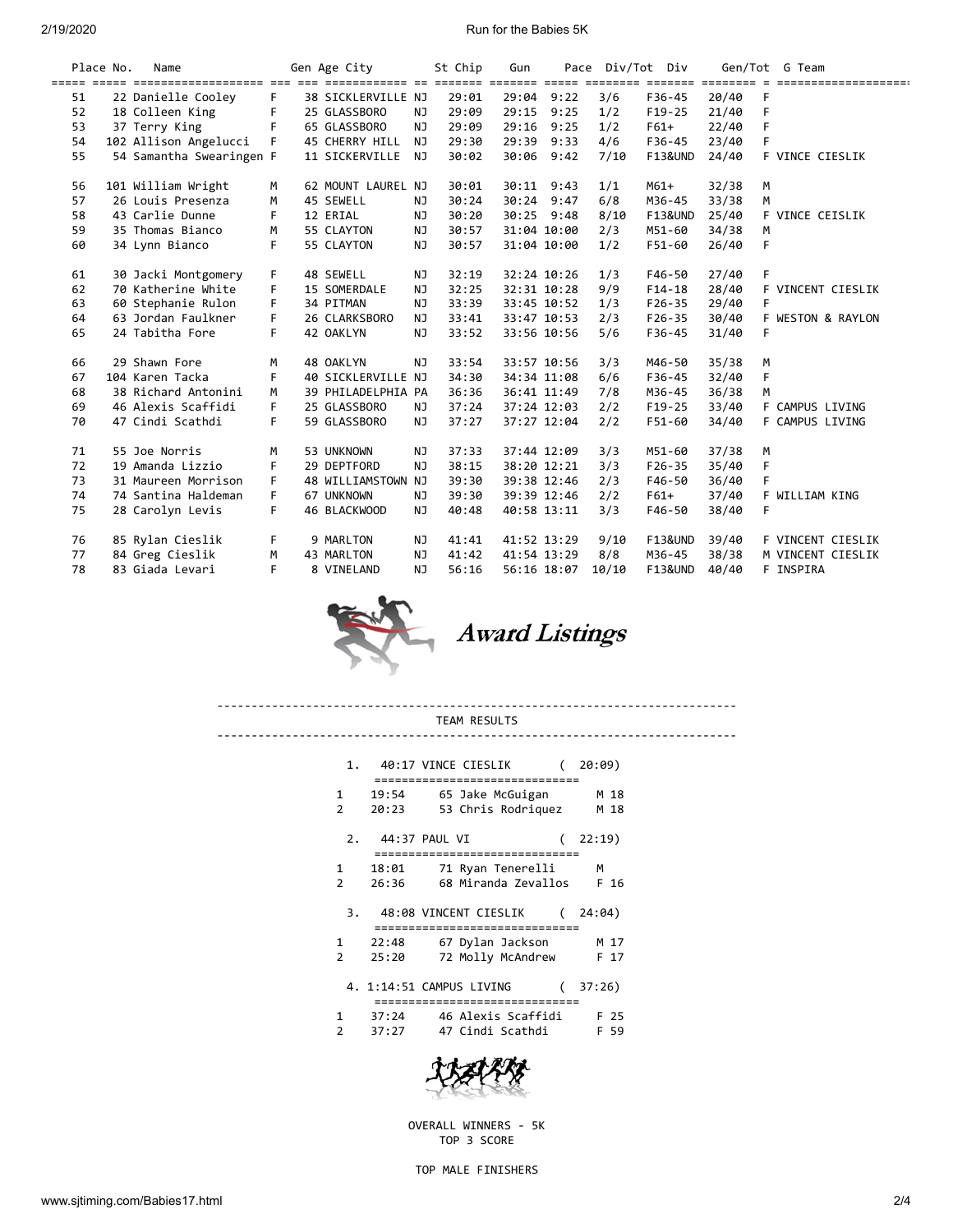### 2/19/2020 Run for the Babies 5K

|    | Place No. | Name                     |    | Gen Age City       |           | St Chip | Gun         |      | Pace Div/Tot Div |                    |       | Gen/Tot G Team            |
|----|-----------|--------------------------|----|--------------------|-----------|---------|-------------|------|------------------|--------------------|-------|---------------------------|
| 51 |           | 22 Danielle Cooley       | F. | 38 SICKLERVILLE NJ |           | 29:01   | 29:04       | 9:22 | 3/6              | F36-45             | 20/40 | ====================<br>F |
| 52 |           | 18 Colleen King          | F  | 25 GLASSBORO       | NJ        | 29:09   | 29:15       | 9:25 | 1/2              | $F19-25$           | 21/40 | F                         |
| 53 |           | 37 Terry King            | F  | 65 GLASSBORO       | NJ        | 29:09   | 29:16       | 9:25 | 1/2              | $F61+$             | 22/40 | F                         |
| 54 |           | 102 Allison Angelucci    | F. | 45 CHERRY HILL     | NJ        | 29:30   | 29:39       | 9:33 | 4/6              | F36-45             | 23/40 | F                         |
| 55 |           | 54 Samantha Swearingen F |    | 11 SICKERVILLE     | NJ        | 30:02   | 30:06       | 9:42 | 7/10             | <b>F13&amp;UND</b> | 24/40 | F VINCE CIESLIK           |
| 56 |           | 101 William Wright       | М  | 62 MOUNT LAUREL NJ |           | 30:01   | 30:11 9:43  |      | 1/1              | $M61+$             | 32/38 | M                         |
| 57 |           | 26 Louis Presenza        | M  | 45 SEWELL          | NJ        | 30:24   | 30:24       | 9:47 | 6/8              | M36-45             | 33/38 | M                         |
| 58 |           | 43 Carlie Dunne          | F. | 12 ERIAL           | NJ        | 30:20   | 30:25 9:48  |      | 8/10             | <b>F13&amp;UND</b> | 25/40 | F VINCE CEISLIK           |
| 59 |           | 35 Thomas Bianco         | M  | 55 CLAYTON         | <b>NJ</b> | 30:57   | 31:04 10:00 |      | 2/3              | M51-60             | 34/38 | M                         |
| 60 |           | 34 Lynn Bianco           | F  | 55 CLAYTON         | NJ        | 30:57   | 31:04 10:00 |      | 1/2              | F51-60             | 26/40 | F                         |
|    |           |                          |    |                    |           |         |             |      |                  |                    |       |                           |
| 61 |           | 30 Jacki Montgomery      | F  | 48 SEWELL          | ΝJ        | 32:19   | 32:24 10:26 |      | 1/3              | F46-50             | 27/40 | F                         |
| 62 |           | 70 Katherine White       | F  | 15 SOMERDALE       | <b>NJ</b> | 32:25   | 32:31 10:28 |      | 9/9              | $F14-18$           | 28/40 | VINCENT CIESLIK<br>F.     |
| 63 |           | 60 Stephanie Rulon       | F  | 34 PITMAN          | <b>NJ</b> | 33:39   | 33:45 10:52 |      | 1/3              | $F26 - 35$         | 29/40 | F                         |
| 64 |           | 63 Jordan Faulkner       | F. | 26 CLARKSBORO      | <b>NJ</b> | 33:41   | 33:47 10:53 |      | 2/3              | $F26 - 35$         | 30/40 | F WESTON & RAYLON         |
| 65 |           | 24 Tabitha Fore          | F. | 42 OAKLYN          | NJ        | 33:52   | 33:56 10:56 |      | 5/6              | F36-45             | 31/40 | F                         |
| 66 |           | 29 Shawn Fore            | M  | 48 OAKLYN          | <b>NJ</b> | 33:54   | 33:57 10:56 |      | 3/3              | M46-50             | 35/38 | M                         |
| 67 |           | 104 Karen Tacka          | F  | 40 SICKLERVILLE NJ |           | 34:30   | 34:34 11:08 |      | 6/6              | F36-45             | 32/40 | F                         |
| 68 |           | 38 Richard Antonini      | M  | 39 PHILADELPHIA PA |           | 36:36   | 36:41 11:49 |      | 7/8              | M36-45             | 36/38 | M                         |
| 69 |           | 46 Alexis Scaffidi       | F  | 25 GLASSBORO       | NJ        | 37:24   | 37:24 12:03 |      | 2/2              | $F19-25$           | 33/40 | F<br>CAMPUS LIVING        |
| 70 |           | 47 Cindi Scathdi         | F. | 59 GLASSBORO       | NJ        | 37:27   | 37:27 12:04 |      | 2/2              | F51-60             | 34/40 | F CAMPUS LIVING           |
| 71 |           | 55 Joe Norris            | M  | 53 UNKNOWN         | ΝJ        | 37:33   | 37:44 12:09 |      | 3/3              | M51-60             | 37/38 | M                         |
| 72 |           | 19 Amanda Lizzio         | F  | 29 DEPTFORD        | NJ        | 38:15   | 38:20 12:21 |      | 3/3              | $F26 - 35$         | 35/40 | F                         |
| 73 |           | 31 Maureen Morrison      | F  | 48 WILLIAMSTOWN NJ |           | 39:30   | 39:38 12:46 |      | 2/3              | F46-50             | 36/40 | F                         |
| 74 |           | 74 Santina Haldeman      | F  | 67 UNKNOWN         | ΝJ        | 39:30   | 39:39 12:46 |      | 2/2              | $F61+$             | 37/40 | F WILLIAM KING            |
| 75 |           | 28 Carolyn Levis         | F. | 46 BLACKWOOD       | <b>NJ</b> | 40:48   | 40:58 13:11 |      | 3/3              | F46-50             | 38/40 | F                         |
| 76 |           | 85 Rylan Cieslik         | F. | 9 MARLTON          | NJ        | 41:41   | 41:52 13:29 |      | 9/10             | <b>F13&amp;UND</b> | 39/40 | F VINCENT CIESLIK         |
| 77 |           | 84 Greg Cieslik          | М  | 43 MARLTON         | NJ        | 41:42   | 41:54 13:29 |      | 8/8              | M36-45             | 38/38 | M VINCENT CIESLIK         |
| 78 |           | 83 Giada Levari          | F  | 8 VINELAND         | NJ        | 56:16   | 56:16 18:07 |      | 10/10            | <b>F13&amp;UND</b> | 40/40 | F<br>INSPIRA              |
|    |           |                          |    |                    |           |         |             |      |                  |                    |       |                           |



#### ---------------------------------------------------------------------------- TEAM RESULTS ----------------------------------------------------------------------------

|                        |                                  | 1. 40:17 VINCE CIESLIK   |   | 20:09) |
|------------------------|----------------------------------|--------------------------|---|--------|
| 1                      | 19:54                            | 65 Jake McGuigan         |   | M 18   |
| $\mathcal{P}$          | 20:23                            | 53 Chris Rodriguez       |   | M 18   |
| 2.                     | 44:37 PAUL VI<br>:============== | ===============          |   | 22:19) |
|                        | 1 18:01                          | 71 Ryan Tenerelli        |   | м      |
| $\mathcal{P}$          | 26:36                            | 68 Miranda Zevallos      |   | F 16   |
| 3.                     |                                  | 48:08 VINCENT CIESLIK    | ( | 24:04) |
| $\mathbf{1}$           | 22:48                            | 67 Dylan Jackson         |   | M 17   |
| 2                      | 25:20                            | 72 Molly McAndrew        |   | F 17   |
|                        |                                  | 4. 1:14:51 CAMPUS LIVING |   | 37:26) |
| $1 \quad \blacksquare$ | 37:24                            | 46 Alexis Scaffidi       |   | F 25   |
| 2                      | 37:27                            | 47 Cindi Scathdi         |   | -59    |



OVERALL WINNERS - 5K TOP 3 SCORE

TOP MALE FINISHERS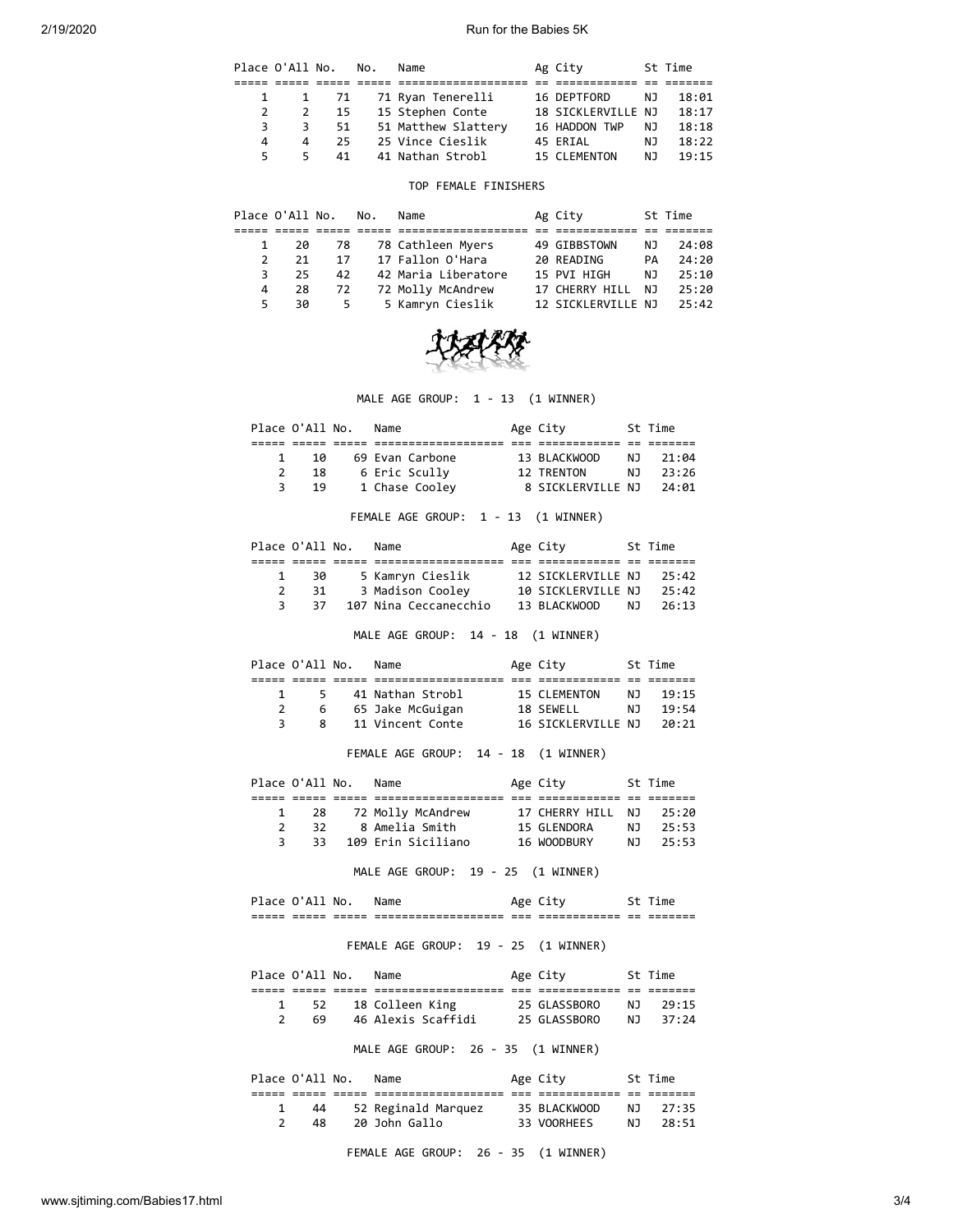2/19/2020 Run for the Babies 5K

|    | Place O'All No. |           | No. | Name                | Ag City            |     | St Time |
|----|-----------------|-----------|-----|---------------------|--------------------|-----|---------|
|    |                 |           |     |                     |                    |     |         |
|    |                 | 1 1 71    |     | 71 Ryan Tenerelli   | 16 DEPTFORD        | NJ. | 18:01   |
|    |                 | - 15<br>2 |     | 15 Stephen Conte    | 18 SICKLERVILLE NJ |     | 18:17   |
| 3  | 3               | 51        |     | 51 Matthew Slattery | 16 HADDON TWP      | ΝJ  | 18:18   |
| 4  | 4               | 25        |     | 25 Vince Cieslik    | 45 ERIAL           | NJ. | 18:22   |
| 5. | 5.              | 41        |     | 41 Nathan Strobl    | 15 CLEMENTON       | NJ. | 19:15   |

#### TOP FEMALE FINISHERS

|    | Place O'All No. |     | No. | Name                | Ag City            |     | St Time |
|----|-----------------|-----|-----|---------------------|--------------------|-----|---------|
|    |                 |     |     |                     |                    |     |         |
|    | 20              | -78 |     | 78 Cathleen Myers   | 49 GIBBSTOWN       | NJ. | 24:08   |
|    | 21              | 17  |     | 17 Fallon O'Hara    | 20 READING         | PA  | 24:20   |
| 3. | 25              | 42  |     | 42 Maria Liberatore | 15 PVI HIGH        | NJ. | 25:10   |
| 4  | 28              | 72  |     | 72 Molly McAndrew   | 17 CHERRY HILL     | NJ. | 25:20   |
|    | 30              | 5.  |     | 5 Kamryn Cieslik    | 12 SICKLERVILLE NJ |     | 25:42   |



MALE AGE GROUP: 1 - 13 (1 WINNER)

|  | Place O'All No. | Name            | Age City          |     | St Time |  |
|--|-----------------|-----------------|-------------------|-----|---------|--|
|  |                 |                 |                   |     |         |  |
|  | 1Q              | 69 Evan Carbone | 13 BLACKWOOD      | N T | 21:04   |  |
|  | 18              | 6 Eric Scully   | 12 TRENTON        | NJ. | 23:26   |  |
|  | 19              | 1 Chase Cooley  | 8 SICKLERVILLE NJ |     | 24:01   |  |

FEMALE AGE GROUP: 1 - 13 (1 WINNER)

|  | Place O'All No. | Name                  | Age City           |     | St Time |
|--|-----------------|-----------------------|--------------------|-----|---------|
|  |                 |                       |                    |     |         |
|  | 30              | 5 Kamryn Cieslik      | 12 SICKLERVILLE NJ |     | 25:42   |
|  | 31              | 3 Madison Cooley      | 10 SICKLERVILLE NJ |     | 25:42   |
|  | 37              | 107 Nina Ceccanecchio | 13 BLACKWOOD       | N T | 26:13   |

MALE AGE GROUP: 14 - 18 (1 WINNER)

| Place O'All No. |   | Name               | Age City           |     | St Time |
|-----------------|---|--------------------|--------------------|-----|---------|
|                 |   |                    |                    |     |         |
|                 |   | 5 41 Nathan Strobl | 15 CLEMENTON       | N J | 19:15   |
|                 | 6 | 65 Jake McGuigan   | 18 SEWELL          | N T | 19:54   |
|                 | 8 | 11 Vincent Conte   | 16 SICKLERVILLE NJ |     | 20:21   |
|                 |   |                    |                    |     |         |

# FEMALE AGE GROUP: 14 - 18 (1 WINNER)

|  | Place O'All No. | Name               | Age City          |     | St Time |
|--|-----------------|--------------------|-------------------|-----|---------|
|  |                 |                    |                   |     |         |
|  | 28              | 72 Molly McAndrew  | 17 CHERRY HILL NJ |     | 25:20   |
|  | 32.             | 8 Amelia Smith     | 15 GLENDORA       | N J | 25:53   |
|  | 33.             | 109 Erin Siciliano | 16 WOODBURY       | N J | 25:53   |

MALE AGE GROUP: 19 - 25 (1 WINNER)

|               | л              | NG.            |                                              |              |                               |            |                           |
|---------------|----------------|----------------|----------------------------------------------|--------------|-------------------------------|------------|---------------------------|
| ----<br>_____ | _____<br>_____ | _____<br>_____ | --------------------<br>-------------------- | $- -$<br>--- | ____________<br>_____________ | ___<br>--- | _____<br>$- -$<br>------- |

## FEMALE AGE GROUP: 19 - 25 (1 WINNER)

|               | Place O'All No. | Name                               | Age City     |     | St Time |
|---------------|-----------------|------------------------------------|--------------|-----|---------|
|               |                 |                                    |              |     |         |
|               | 52              | 18 Colleen King                    | 25 GLASSBORO | N J | 29:15   |
| $\mathcal{P}$ | 69              | 46 Alexis Scaffidi                 | 25 GLASSBORO | N J | 37:24   |
|               |                 | MALE AGE GROUP: 26 - 35 (1 WINNER) |              |     |         |
|               | Place O'All No. | Name                               | Age City     |     | St Time |
|               |                 |                                    |              |     |         |

 1 44 52 Reginald Marquez 35 BLACKWOOD NJ 27:35 2 48 20 John Gallo 33 VOORHEES NJ 28:51

FEMALE AGE GROUP: 26 - 35 (1 WINNER)